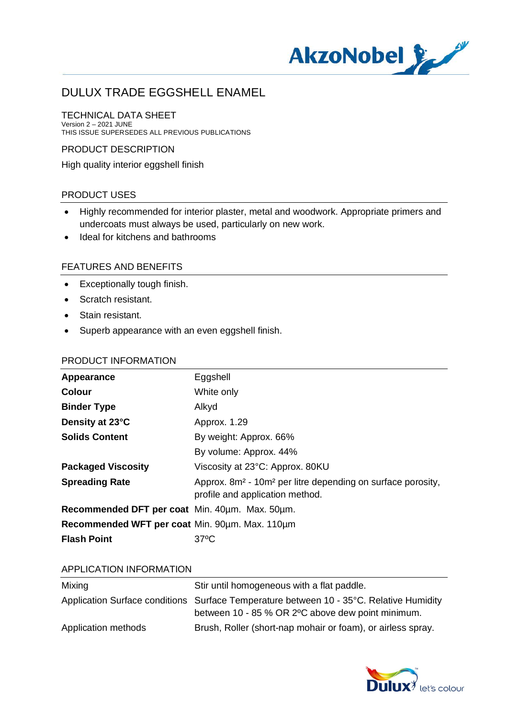

#### TECHNICAL DATA SHEET Version 2 – 2021 JUNE

THIS ISSUE SUPERSEDES ALL PREVIOUS PUBLICATIONS

#### PRODUCT DESCRIPTION

High quality interior eggshell finish

#### PRODUCT USES

- · Highly recommended for interior plaster, metal and woodwork. Appropriate primers and undercoats must always be used, particularly on new work.
- · Ideal for kitchens and bathrooms

#### FEATURES AND BENEFITS

- · Exceptionally tough finish.
- · Scratch resistant.
- · Stain resistant.
- · Superb appearance with an even eggshell finish.

#### PRODUCT INFORMATION

| Appearance                                     | Eggshell                                                                                                               |
|------------------------------------------------|------------------------------------------------------------------------------------------------------------------------|
| <b>Colour</b>                                  | White only                                                                                                             |
| <b>Binder Type</b>                             | Alkyd                                                                                                                  |
| Density at 23°C                                | Approx. 1.29                                                                                                           |
| <b>Solids Content</b>                          | By weight: Approx. 66%                                                                                                 |
|                                                | By volume: Approx. 44%                                                                                                 |
| <b>Packaged Viscosity</b>                      | Viscosity at 23°C: Approx. 80KU                                                                                        |
| <b>Spreading Rate</b>                          | Approx. 8m <sup>2</sup> - 10m <sup>2</sup> per litre depending on surface porosity,<br>profile and application method. |
| Recommended DFT per coat Min. 40um. Max. 50um. |                                                                                                                        |
| Recommended WFT per coat Min. 90um. Max. 110um |                                                                                                                        |
| <b>Flash Point</b>                             | $37^{\circ}$ C                                                                                                         |

#### APPLICATION INFORMATION

| Mixing              | Stir until homogeneous with a flat paddle.                                                                                                    |
|---------------------|-----------------------------------------------------------------------------------------------------------------------------------------------|
|                     | Application Surface conditions Surface Temperature between 10 - 35°C. Relative Humidity<br>between 10 - 85 % OR 2 °C above dew point minimum. |
| Application methods | Brush, Roller (short-nap mohair or foam), or airless spray.                                                                                   |

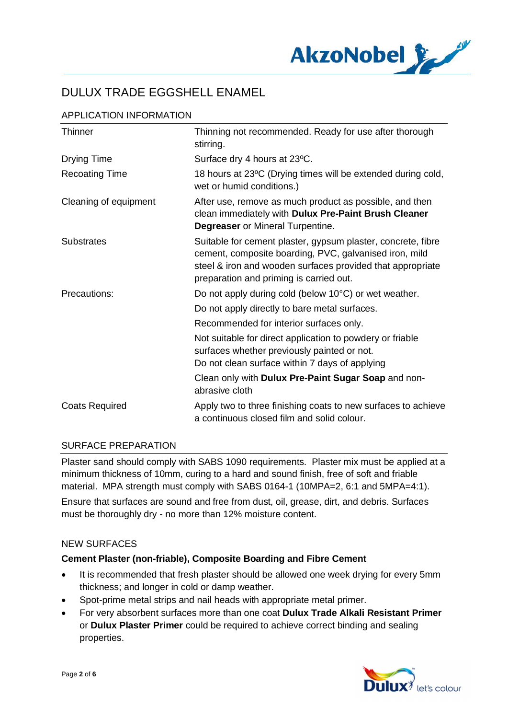

| APPLICATION INFORMATION |  |
|-------------------------|--|
|                         |  |

| Thinner               | Thinning not recommended. Ready for use after thorough<br>stirring.                                                                                                                                                             |
|-----------------------|---------------------------------------------------------------------------------------------------------------------------------------------------------------------------------------------------------------------------------|
| <b>Drying Time</b>    | Surface dry 4 hours at 23°C.                                                                                                                                                                                                    |
| <b>Recoating Time</b> | 18 hours at 23°C (Drying times will be extended during cold,<br>wet or humid conditions.)                                                                                                                                       |
| Cleaning of equipment | After use, remove as much product as possible, and then<br>clean immediately with Dulux Pre-Paint Brush Cleaner<br><b>Degreaser</b> or Mineral Turpentine.                                                                      |
| <b>Substrates</b>     | Suitable for cement plaster, gypsum plaster, concrete, fibre<br>cement, composite boarding, PVC, galvanised iron, mild<br>steel & iron and wooden surfaces provided that appropriate<br>preparation and priming is carried out. |
| Precautions:          | Do not apply during cold (below 10°C) or wet weather.                                                                                                                                                                           |
|                       | Do not apply directly to bare metal surfaces.                                                                                                                                                                                   |
|                       | Recommended for interior surfaces only.                                                                                                                                                                                         |
|                       | Not suitable for direct application to powdery or friable<br>surfaces whether previously painted or not.<br>Do not clean surface within 7 days of applying                                                                      |
|                       | Clean only with Dulux Pre-Paint Sugar Soap and non-<br>abrasive cloth                                                                                                                                                           |
| <b>Coats Required</b> | Apply two to three finishing coats to new surfaces to achieve<br>a continuous closed film and solid colour.                                                                                                                     |

#### SURFACE PREPARATION

Plaster sand should comply with SABS 1090 requirements. Plaster mix must be applied at a minimum thickness of 10mm, curing to a hard and sound finish, free of soft and friable material. MPA strength must comply with SABS 0164-1 (10MPA=2, 6:1 and 5MPA=4:1). Ensure that surfaces are sound and free from dust, oil, grease, dirt, and debris. Surfaces

#### NEW SURFACES

#### **Cement Plaster (non-friable), Composite Boarding and Fibre Cement**

must be thoroughly dry - no more than 12% moisture content.

- · It is recommended that fresh plaster should be allowed one week drying for every 5mm thickness; and longer in cold or damp weather.
- · Spot-prime metal strips and nail heads with appropriate metal primer.
- · For very absorbent surfaces more than one coat **Dulux Trade Alkali Resistant Primer** or **Dulux Plaster Primer** could be required to achieve correct binding and sealing properties.

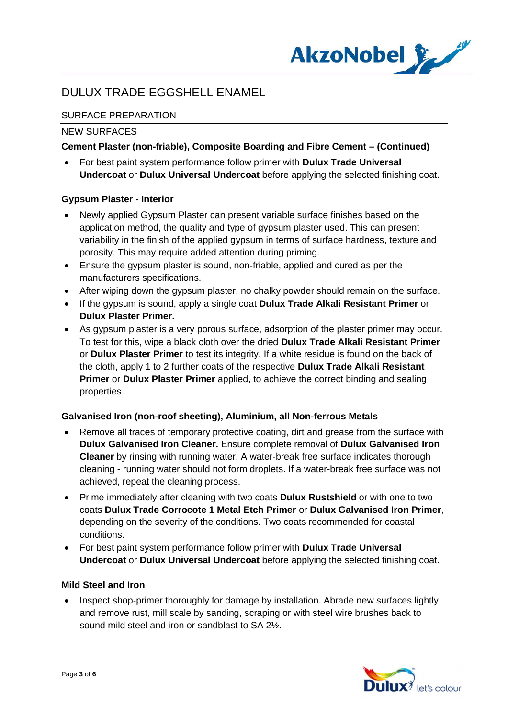

# SURFACE PREPARATION

### NEW SURFACES

### **Cement Plaster (non-friable), Composite Boarding and Fibre Cement – (Continued)**

· For best paint system performance follow primer with **Dulux Trade Universal Undercoat** or **Dulux Universal Undercoat** before applying the selected finishing coat.

### **Gypsum Plaster - Interior**

- · Newly applied Gypsum Plaster can present variable surface finishes based on the application method, the quality and type of gypsum plaster used. This can present variability in the finish of the applied gypsum in terms of surface hardness, texture and porosity. This may require added attention during priming.
- Ensure the gypsum plaster is sound, non-friable, applied and cured as per the manufacturers specifications.
- After wiping down the gypsum plaster, no chalky powder should remain on the surface.
- · If the gypsum is sound, apply a single coat **Dulux Trade Alkali Resistant Primer** or **Dulux Plaster Primer.**
- · As gypsum plaster is a very porous surface, adsorption of the plaster primer may occur. To test for this, wipe a black cloth over the dried **Dulux Trade Alkali Resistant Primer** or **Dulux Plaster Primer** to test its integrity. If a white residue is found on the back of the cloth, apply 1 to 2 further coats of the respective **Dulux Trade Alkali Resistant Primer** or **Dulux Plaster Primer** applied, to achieve the correct binding and sealing properties.

#### **Galvanised Iron (non-roof sheeting), Aluminium, all Non-ferrous Metals**

- · Remove all traces of temporary protective coating, dirt and grease from the surface with **Dulux Galvanised Iron Cleaner.** Ensure complete removal of **Dulux Galvanised Iron Cleaner** by rinsing with running water. A water-break free surface indicates thorough cleaning - running water should not form droplets. If a water-break free surface was not achieved, repeat the cleaning process.
- · Prime immediately after cleaning with two coats **Dulux Rustshield** or with one to two coats **Dulux Trade Corrocote 1 Metal Etch Primer** or **Dulux Galvanised Iron Primer**, depending on the severity of the conditions. Two coats recommended for coastal conditions.
- · For best paint system performance follow primer with **Dulux Trade Universal Undercoat** or **Dulux Universal Undercoat** before applying the selected finishing coat.

#### **Mild Steel and Iron**

• Inspect shop-primer thoroughly for damage by installation. Abrade new surfaces lightly and remove rust, mill scale by sanding, scraping or with steel wire brushes back to sound mild steel and iron or sandblast to SA 2½.

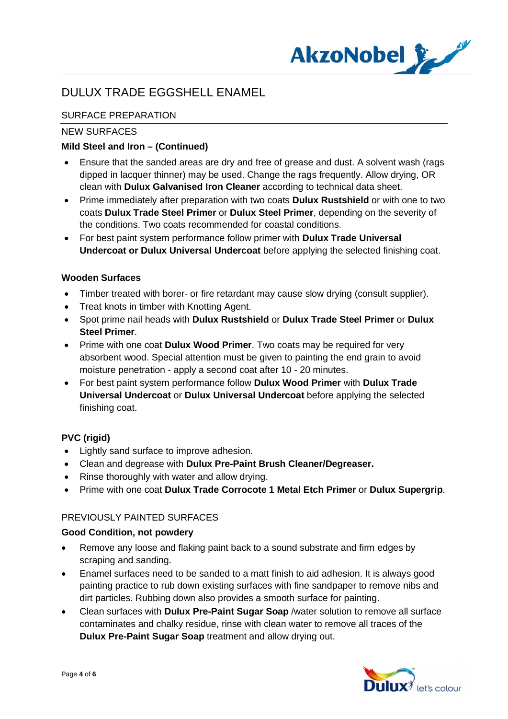

# SURFACE PREPARATION

### NEW SURFACES

### **Mild Steel and Iron – (Continued)**

- · Ensure that the sanded areas are dry and free of grease and dust. A solvent wash (rags dipped in lacquer thinner) may be used. Change the rags frequently. Allow drying, OR clean with **Dulux Galvanised Iron Cleaner** according to technical data sheet.
- · Prime immediately after preparation with two coats **Dulux Rustshield** or with one to two coats **Dulux Trade Steel Primer** or **Dulux Steel Primer**, depending on the severity of the conditions. Two coats recommended for coastal conditions.
- · For best paint system performance follow primer with **Dulux Trade Universal Undercoat or Dulux Universal Undercoat** before applying the selected finishing coat.

### **Wooden Surfaces**

- · Timber treated with borer- or fire retardant may cause slow drying (consult supplier).
- · Treat knots in timber with Knotting Agent.
- · Spot prime nail heads with **Dulux Rustshield** or **Dulux Trade Steel Primer** or **Dulux Steel Primer**.
- · Prime with one coat **Dulux Wood Primer**. Two coats may be required for very absorbent wood. Special attention must be given to painting the end grain to avoid moisture penetration - apply a second coat after 10 - 20 minutes.
- · For best paint system performance follow **Dulux Wood Primer** with **Dulux Trade Universal Undercoat** or **Dulux Universal Undercoat** before applying the selected finishing coat.

# **PVC (rigid)**

- · Lightly sand surface to improve adhesion.
- · Clean and degrease with **Dulux Pre-Paint Brush Cleaner/Degreaser.**
- Rinse thoroughly with water and allow drying.
- · Prime with one coat **Dulux Trade Corrocote 1 Metal Etch Primer** or **Dulux Supergrip**.

# PREVIOUSLY PAINTED SURFACES

#### **Good Condition, not powdery**

- · Remove any loose and flaking paint back to a sound substrate and firm edges by scraping and sanding.
- · Enamel surfaces need to be sanded to a matt finish to aid adhesion. It is always good painting practice to rub down existing surfaces with fine sandpaper to remove nibs and dirt particles. Rubbing down also provides a smooth surface for painting.
- · Clean surfaces with **Dulux Pre-Paint Sugar Soap** /water solution to remove all surface contaminates and chalky residue, rinse with clean water to remove all traces of the **Dulux Pre-Paint Sugar Soap** treatment and allow drying out.

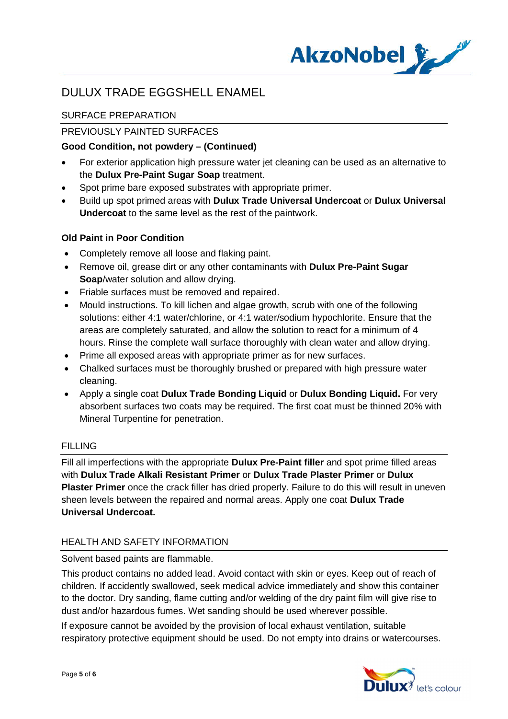

# SURFACE PREPARATION

# PREVIOUSLY PAINTED SURFACES

### **Good Condition, not powdery – (Continued)**

- For exterior application high pressure water jet cleaning can be used as an alternative to the **Dulux Pre-Paint Sugar Soap** treatment.
- Spot prime bare exposed substrates with appropriate primer.
- · Build up spot primed areas with **Dulux Trade Universal Undercoat** or **Dulux Universal Undercoat** to the same level as the rest of the paintwork.

### **Old Paint in Poor Condition**

- · Completely remove all loose and flaking paint.
- · Remove oil, grease dirt or any other contaminants with **Dulux Pre-Paint Sugar Soap**/water solution and allow drying.
- · Friable surfaces must be removed and repaired.
- · Mould instructions. To kill lichen and algae growth, scrub with one of the following solutions: either 4:1 water/chlorine, or 4:1 water/sodium hypochlorite. Ensure that the areas are completely saturated, and allow the solution to react for a minimum of 4 hours. Rinse the complete wall surface thoroughly with clean water and allow drying.
- Prime all exposed areas with appropriate primer as for new surfaces.
- · Chalked surfaces must be thoroughly brushed or prepared with high pressure water cleaning.
- · Apply a single coat **Dulux Trade Bonding Liquid** or **Dulux Bonding Liquid.** For very absorbent surfaces two coats may be required. The first coat must be thinned 20% with Mineral Turpentine for penetration.

#### FILLING

Fill all imperfections with the appropriate **Dulux Pre-Paint filler** and spot prime filled areas with **Dulux Trade Alkali Resistant Primer** or **Dulux Trade Plaster Primer** or **Dulux Plaster Primer** once the crack filler has dried properly. Failure to do this will result in uneven sheen levels between the repaired and normal areas. Apply one coat **Dulux Trade Universal Undercoat.**

# HEALTH AND SAFETY INFORMATION

Solvent based paints are flammable.

This product contains no added lead. Avoid contact with skin or eyes. Keep out of reach of children. If accidently swallowed, seek medical advice immediately and show this container to the doctor. Dry sanding, flame cutting and/or welding of the dry paint film will give rise to dust and/or hazardous fumes. Wet sanding should be used wherever possible.

If exposure cannot be avoided by the provision of local exhaust ventilation, suitable respiratory protective equipment should be used. Do not empty into drains or watercourses.